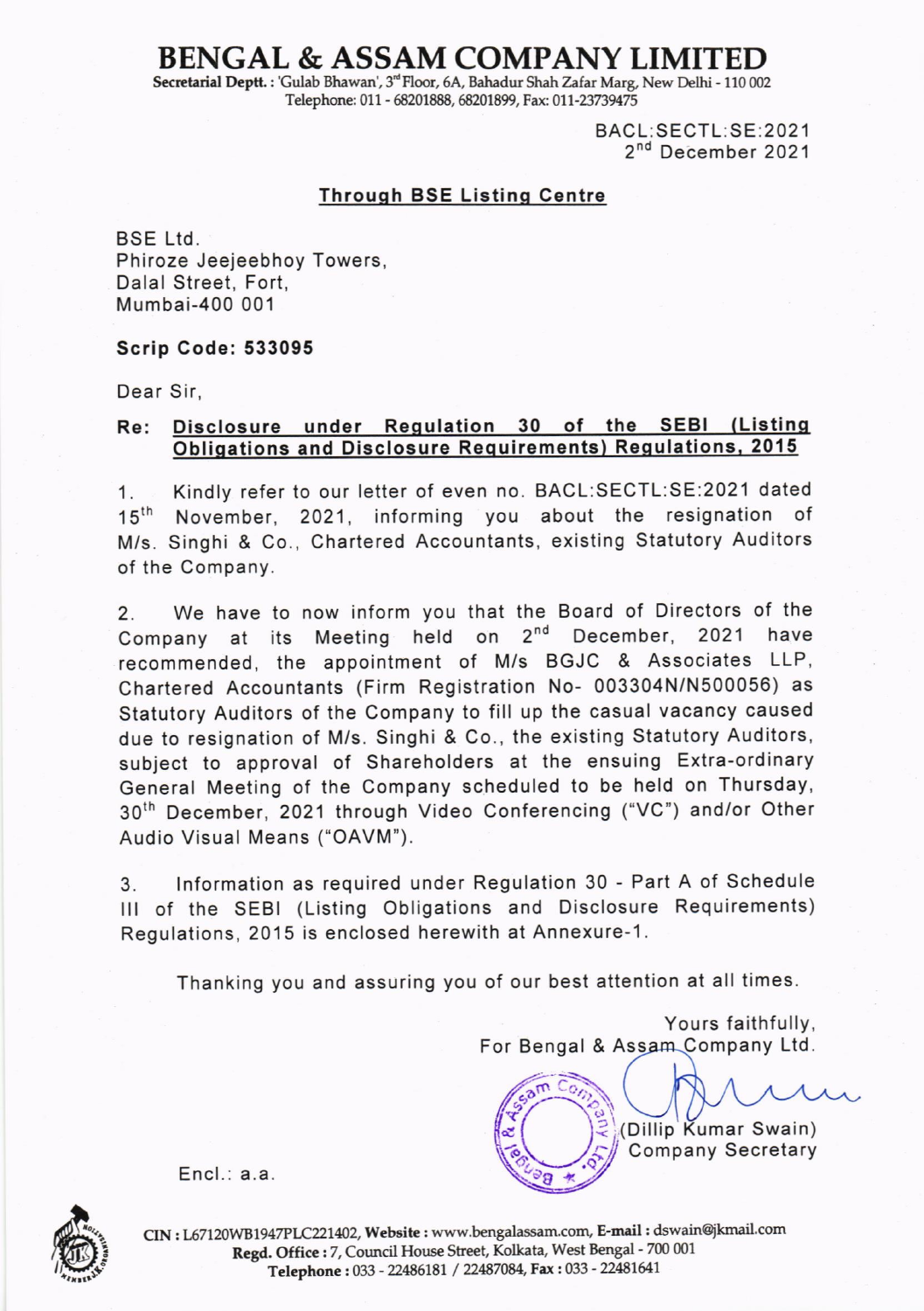## BENGAL & ASSAM COMPANY LIMITED

Secretarial Deptt. : 'Gulab Bhawan', 3<sup>rd</sup> Floor, 6A, Bahadur Shah Zafar Marg, New Delhi - 110 002 Telephone: 011 - 68201888, 68201899, Fax: 011-23739475

> BACL:SECTL:SE:2021 2<sup>nd</sup> December 2021

## **Through BSE Listing Centre**

BSE Ltd. Phiroze Jeejeebhoy Towers, Dalal Street, Fort, Mumbai-400 001

## Scrip Code: 533095

Dear Sir,

## Re: Disclosure under Regulation 30 of the SEBI (Listing Obliqations and Disclosure Requirements) Requlations. 2015

1. Kindly refer to our letter of even no. BACL:SECTL:SE:2021 dated 15<sup>th</sup> November, 2021, informing you about the resignation of M/s. Singhi & Co., Chartered Accountants, existing Statutory Auditors of the Company.

2. We have to now inform you that the Board of Directors of the Company at its Meeting held on 2<sup>nd</sup> December, 2021 have recommended, the appointment of M/s BGJC & Associates LLP, Chartered Accountants (Firm Registration No- 003304N/N500056) as Statutory Auditors of the Company to fill up the casual vacancy caused due to resignation of M/s. Singhi & Co., the existing Statutory Auditors, subject to approval of Shareholders at the ensuing Extra-ordinary General Meeting of the Company scheduled to be held on Thursday, 30th December, 2021 through Video Conferencing ("VC") and/or Other Audio Visual Means ("OAVM').

3. lnformation as required under Regulation 30 - Part A of Schedule lll of the SEBI (Listing Obligations and Disclosure Requirements) Regulations, 2015 is enclosed herewith at Annexure-1.

Thanking you and assuring you of our best attention at all times.

t d  $\omega$ 

 $\frac{1}{2}$ 

 $\bullet$ !..

 $\circ$ 

a

Yours faithfully, For Bengal & Assam Company Ltd.

(Dillip Kumar Swain) Company Secretary



Encl.: a.a

 $CIN: L67120WB1947PLC221402, Website : www.bengalassam.com, E-mail : dswain@jkmail.com$ Regd. Office : 7, Council House Street, Kolkata, West Bengal - 700 001 Telephone: 033 - 22486181 / 22487084, Fax: 033 - 22481641